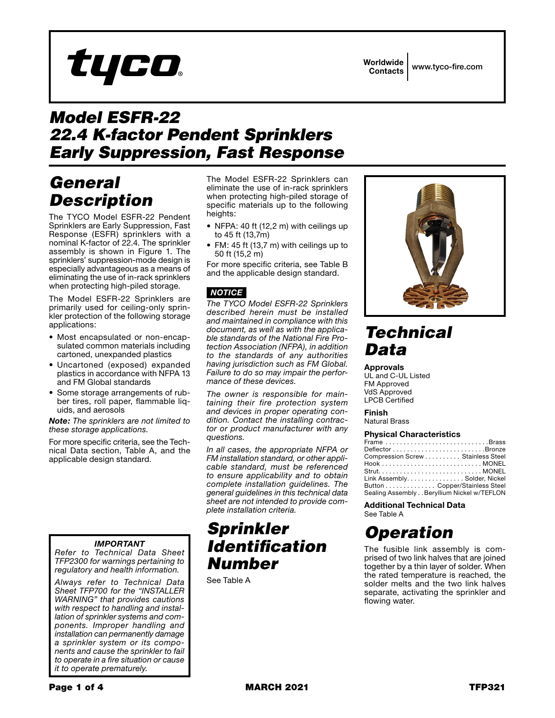## Worldwide Contacts www.tyco-fire.com

# *Model ESFR-22 22.4 K-factor Pendent Sprinklers Early Suppression, Fast Response*

# *General Description*

The TYCO Model ESFR-22 Pendent Sprinklers are Early Suppression, Fast Response (ESFR) sprinklers with a nominal K-factor of 22.4. The sprinkler assembly is shown in Figure 1. The sprinklers' suppression-mode design is especially advantageous as a means of eliminating the use of in-rack sprinklers when protecting high-piled storage.

tyco

The Model ESFR-22 Sprinklers are primarily used for ceiling-only sprinkler protection of the following storage applications:

- Most encapsulated or non-encapsulated common materials including cartoned, unexpanded plastics
- Uncartoned (exposed) expanded plastics in accordance with NFPA 13 and FM Global standards
- Some storage arrangements of rubber tires, roll paper, flammable liquids, and aerosols

*Note: The sprinklers are not limited to these storage applications.*

For more specific criteria, see the Technical Data section, Table A, and the applicable design standard.

## *IMPORTANT*

*Refer to Technical Data Sheet TFP2300 for warnings pertaining to regulatory and health information.*

*Always refer to Technical Data Sheet TFP700 for the "INSTALLER WARNING" that provides cautions with respect to handling and installation of sprinkler systems and components. Improper handling and installation can permanently damage a sprinkler system or its components and cause the sprinkler to fail to operate in a fire situation or cause it to operate prematurely.*

The Model ESFR-22 Sprinklers can eliminate the use of in-rack sprinklers when protecting high-piled storage of specific materials up to the following heights:

- NFPA: 40 ft (12,2 m) with ceilings up to 45 ft (13,7m)
- FM: 45 ft (13,7 m) with ceilings up to 50 ft (15,2 m)

For more specific criteria, see Table B and the applicable design standard.

## *NOTICE*

*The TYCO Model ESFR-22 Sprinklers described herein must be installed and maintained in compliance with this document, as well as with the applicable standards of the National Fire Protection Association (NFPA), in addition to the standards of any authorities having jurisdiction such as FM Global. Failure to do so may impair the performance of these devices.*

*The owner is responsible for maintaining their fire protection system and devices in proper operating condition. Contact the installing contractor or product manufacturer with any questions.*

*In all cases, the appropriate NFPA or FM installation standard, or other applicable standard, must be referenced to ensure applicability and to obtain complete installation guidelines. The general guidelines in this technical data sheet are not intended to provide complete installation criteria.*

## *Sprinkler Identification Number*

See Table A



# *Technical Data*

### Approvals

UL and C-UL Listed FM Approved VdS Approved LPCB Certified

### Finish

Natural Brass

### Physical Characteristics

| Frame Brass                                |  |
|--------------------------------------------|--|
|                                            |  |
| Compression Screw Stainless Steel          |  |
|                                            |  |
|                                            |  |
| Link AssemblySolder, Nickel                |  |
| Button Copper/Stainless Steel              |  |
| Sealing Assembly Beryllium Nickel w/TEFLON |  |
|                                            |  |

#### Additional Technical Data See Table A

# *Operation*

The fusible link assembly is comprised of two link halves that are joined together by a thin layer of solder. When the rated temperature is reached, the solder melts and the two link halves separate, activating the sprinkler and flowing water.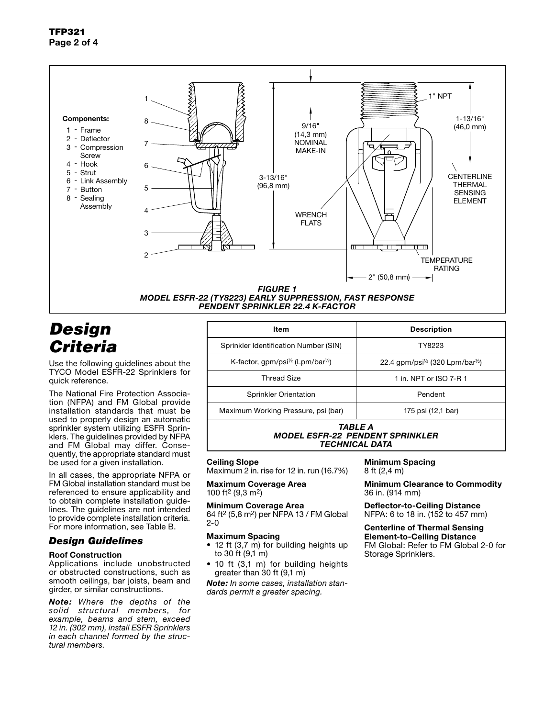

## *Design Criteria*

Use the following guidelines about the TYCO Model ESFR-22 Sprinklers for quick reference.

The National Fire Protection Association (NFPA) and FM Global provide installation standards that must be used to properly design an automatic sprinkler system utilizing ESFR Sprinklers. The guidelines provided by NFPA and FM Global may differ. Consequently, the appropriate standard must be used for a given installation.

In all cases, the appropriate NFPA or FM Global installation standard must be referenced to ensure applicability and to obtain complete installation guidelines. The guidelines are not intended to provide complete installation criteria. For more information, see Table B.

### *Design Guidelines*

### Roof Construction

Applications include unobstructed or obstructed constructions, such as smooth ceilings, bar joists, beam and girder, or similar constructions.

*Note: Where the depths of the solid structural members, for example, beams and stem, exceed 12 in. (302 mm), install ESFR Sprinklers in each channel formed by the structural members.*

| Item                                                                                                 | <b>Description</b>                                        |  |
|------------------------------------------------------------------------------------------------------|-----------------------------------------------------------|--|
| Sprinkler Identification Number (SIN)                                                                | TY8223                                                    |  |
| K-factor, gpm/psi <sup><math>\frac{1}{2}</math></sup> (Lpm/bar <sup><math>\frac{1}{2}</math></sup> ) | 22.4 gpm/psi <sup>1/2</sup> (320 Lpm/bar <sup>1/2</sup> ) |  |
| <b>Thread Size</b>                                                                                   | 1 in. NPT or ISO 7-R 1                                    |  |
| <b>Sprinkler Orientation</b>                                                                         | Pendent                                                   |  |
| Maximum Working Pressure, psi (bar)                                                                  | 175 psi (12,1 bar)                                        |  |
| TARI F A                                                                                             |                                                           |  |

*MODEL ESFR-22 PENDENT SPRINKLER*

## *TECHNICAL DATA*

## Ceiling Slope

Maximum 2 in. rise for 12 in. run (16.7%)

Maximum Coverage Area 100 ft2 (9,3 m2)

Minimum Coverage Area 64 ft2 (5,8 m2) per NFPA 13 / FM Global 2-0

### Maximum Spacing

- 12 ft (3,7 m) for building heights up to 30 ft  $(9,1 \, \text{m})$
- 10 ft (3,1 m) for building heights greater than 30 ft (9,1 m)

*Note: In some cases, installation standards permit a greater spacing.*

Minimum Spacing 8 ft (2,4 m)

Minimum Clearance to Commodity 36 in. (914 mm)

Deflector-to-Ceiling Distance NFPA: 6 to 18 in. (152 to 457 mm)

Centerline of Thermal Sensing Element-to-Ceiling Distance FM Global: Refer to FM Global 2-0 for

Storage Sprinklers.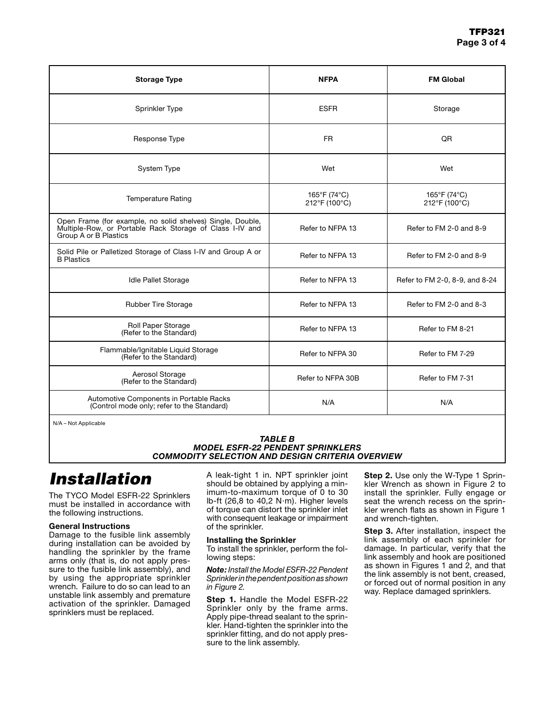| <b>Storage Type</b>                                                                                                                             | <b>NFPA</b>                   | <b>FM Global</b>               |
|-------------------------------------------------------------------------------------------------------------------------------------------------|-------------------------------|--------------------------------|
| Sprinkler Type                                                                                                                                  | <b>ESFR</b>                   | Storage                        |
| Response Type                                                                                                                                   | FR.                           | QR                             |
| System Type                                                                                                                                     | Wet                           | Wet                            |
| <b>Temperature Rating</b>                                                                                                                       | 165°F (74°C)<br>212°F (100°C) | 165°F (74°C)<br>212°F (100°C)  |
| Open Frame (for example, no solid shelves) Single, Double,<br>Multiple-Row, or Portable Rack Storage of Class I-IV and<br>Group A or B Plastics | Refer to NFPA 13              | Refer to FM 2-0 and 8-9        |
| Solid Pile or Palletized Storage of Class I-IV and Group A or<br><b>B</b> Plastics                                                              | Refer to NFPA 13              | Refer to FM 2-0 and 8-9        |
| <b>Idle Pallet Storage</b>                                                                                                                      | Refer to NFPA 13              | Refer to FM 2-0, 8-9, and 8-24 |
| <b>Rubber Tire Storage</b>                                                                                                                      | Refer to NFPA 13              | Refer to FM 2-0 and 8-3        |
| Roll Paper Storage<br>(Refer to the Standard)                                                                                                   | Refer to NFPA 13              | Refer to FM 8-21               |
| Flammable/Ignitable Liquid Storage<br>(Refer to the Standard)                                                                                   | Refer to NFPA 30              | Refer to FM 7-29               |
| Aerosol Storage<br>(Refer to the Standard)                                                                                                      | Refer to NFPA 30B             | Refer to FM 7-31               |
| Automotive Components in Portable Racks<br>(Control mode only; refer to the Standard)                                                           | N/A                           | N/A                            |

N/A – Not Applicable

### *TABLE B MODEL ESFR-22 PENDENT SPRINKLERS COMMODITY SELECTION AND DESIGN CRITERIA OVERVIEW*

# *Installation*

The TYCO Model ESFR-22 Sprinklers must be installed in accordance with the following instructions.

## General Instructions

Damage to the fusible link assembly during installation can be avoided by handling the sprinkler by the frame arms only (that is, do not apply pressure to the fusible link assembly), and by using the appropriate sprinkler wrench. Failure to do so can lead to an unstable link assembly and premature activation of the sprinkler. Damaged sprinklers must be replaced.

A leak-tight 1 in. NPT sprinkler joint should be obtained by applying a minimum-to-maximum torque of 0 to 30 lb-ft (26,8 to 40,2 N∙m). Higher levels of torque can distort the sprinkler inlet with consequent leakage or impairment of the sprinkler.

### Installing the Sprinkler

To install the sprinkler, perform the following steps:

*Note: Install the Model ESFR-22 Pendent Sprinkler in the pendent position as shown in Figure 2.*

**Step 1.** Handle the Model ESFR-22 Sprinkler only by the frame arms. Apply pipe-thread sealant to the sprinkler. Hand-tighten the sprinkler into the sprinkler fitting, and do not apply pressure to the link assembly.

**Step 2.** Use only the W-Type 1 Sprinkler Wrench as shown in Figure 2 to install the sprinkler. Fully engage or seat the wrench recess on the sprinkler wrench flats as shown in Figure 1 and wrench-tighten.

Step 3. After installation, inspect the link assembly of each sprinkler for damage. In particular, verify that the link assembly and hook are positioned as shown in Figures 1 and 2, and that the link assembly is not bent, creased, or forced out of normal position in any way. Replace damaged sprinklers.